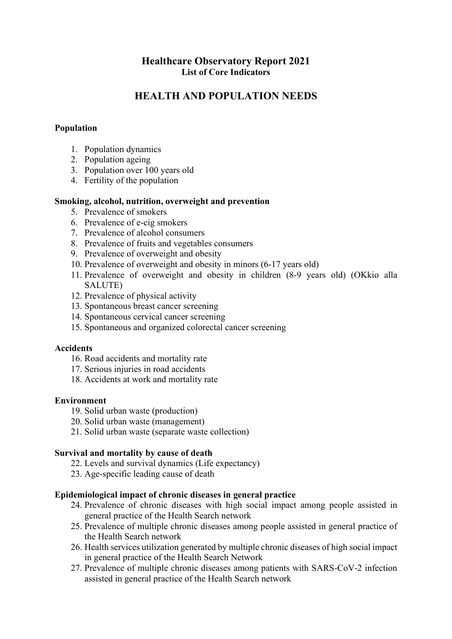## **Healthcare Observatory Report 2021 List of Core Indicators**

# **HEALTH AND POPULATION NEEDS**

## **Population**

- 1. Population dynamics
- 2. Population ageing
- 3. Population over 100 years old
- 4. Fertility of the population

## **Smoking, alcohol, nutrition, overweight and prevention**

- 5. Prevalence of smokers
- 6. Prevalence of e-cig smokers
- 7. Prevalence of alcohol consumers
- 8. Prevalence of fruits and vegetables consumers
- 9. Prevalence of overweight and obesity
- 10. Prevalence of overweight and obesity in minors (6-17 years old)
- 11. Prevalence of overweight and obesity in children (8-9 years old) (OKkio alla SALUTE)
- 12. Prevalence of physical activity
- 13. Spontaneous breast cancer screening
- 14. Spontaneous cervical cancer screening
- 15. Spontaneous and organized colorectal cancer screening

## **Accidents**

- 16. Road accidents and mortality rate
- 17. Serious injuries in road accidents
- 18. Accidents at work and mortality rate

## **Environment**

- 19. Solid urban waste (production)
- 20. Solid urban waste (management)
- 21. Solid urban waste (separate waste collection)

## **Survival and mortality by cause of death**

- 22. Levels and survival dynamics (Life expectancy)
- 23. Age-specific leading cause of death

## **Epidemiological impact of chronic diseases in general practice**

- 24. Prevalence of chronic diseases with high social impact among people assisted in general practice of the Health Search network
- 25. Prevalence of multiple chronic diseases among people assisted in general practice of the Health Search network
- 26. Health services utilization generated by multiple chronic diseases of high social impact in general practice of the Health Search Network
- 27. Prevalence of multiple chronic diseases among patients with SARS-CoV-2 infection assisted in general practice of the Health Search network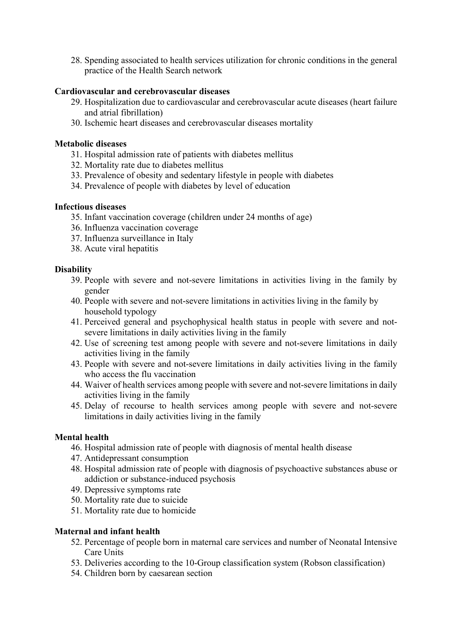28. Spending associated to health services utilization for chronic conditions in the general practice of the Health Search network

## **Cardiovascular and cerebrovascular diseases**

- 29. Hospitalization due to cardiovascular and cerebrovascular acute diseases (heart failure and atrial fibrillation)
- 30. Ischemic heart diseases and cerebrovascular diseases mortality

## **Metabolic diseases**

- 31. Hospital admission rate of patients with diabetes mellitus
- 32. Mortality rate due to diabetes mellitus
- 33. Prevalence of obesity and sedentary lifestyle in people with diabetes
- 34. Prevalence of people with diabetes by level of education

## **Infectious diseases**

- 35. Infant vaccination coverage (children under 24 months of age)
- 36. Influenza vaccination coverage
- 37. Influenza surveillance in Italy
- 38. Acute viral hepatitis

## **Disability**

- 39. People with severe and not-severe limitations in activities living in the family by gender
- 40. People with severe and not-severe limitations in activities living in the family by household typology
- 41. Perceived general and psychophysical health status in people with severe and notsevere limitations in daily activities living in the family
- 42. Use of screening test among people with severe and not-severe limitations in daily activities living in the family
- 43. People with severe and not-severe limitations in daily activities living in the family who access the flu vaccination
- 44. Waiver of health services among people with severe and not-severe limitations in daily activities living in the family
- 45. Delay of recourse to health services among people with severe and not-severe limitations in daily activities living in the family

## **Mental health**

- 46. Hospital admission rate of people with diagnosis of mental health disease
- 47. Antidepressant consumption
- 48. Hospital admission rate of people with diagnosis of psychoactive substances abuse or addiction or substance-induced psychosis
- 49. [Depressive symptoms](https://context.reverso.net/traduzione/inglese-italiano/Depressive+symptoms) rate
- 50. Mortality rate due to suicide
- 51. Mortality rate due to homicide

## **Maternal and infant health**

- 52. Percentage of people born in maternal care services and number of Neonatal Intensive Care Units
- 53. Deliveries according to the 10-Group classification system (Robson classification)
- 54. Children born by caesarean section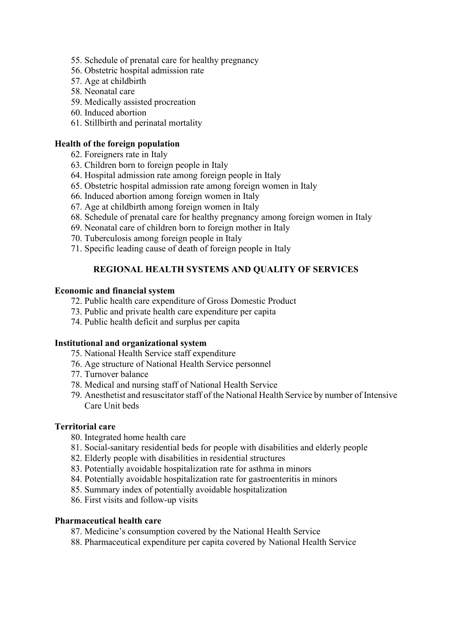- 55. Schedule of prenatal care for healthy pregnancy
- 56. Obstetric hospital admission rate
- 57. Age at childbirth
- 58. Neonatal care
- 59. Medically assisted procreation
- 60. Induced abortion
- 61. Stillbirth and [perinatal mortality](https://context.reverso.net/traduzione/inglese-italiano/perinatal+mortality)

## **Health of the foreign population**

- 62. Foreigners rate in Italy
- 63. Children born to foreign people in Italy
- 64. Hospital admission rate among foreign people in Italy
- 65. Obstetric hospital admission rate among foreign women in Italy
- 66. Induced abortion among foreign women in Italy
- 67. Age at childbirth among foreign women in Italy
- 68. Schedule of prenatal care for healthy pregnancy among foreign women in Italy
- 69. Neonatal care of children born to foreign mother in Italy
- 70. Tuberculosis among foreign people in Italy
- 71. Specific leading cause of death of foreign people in Italy

## **REGIONAL HEALTH SYSTEMS AND QUALITY OF SERVICES**

## **Economic and financial system**

- 72. Public health care expenditure of Gross Domestic Product
- 73. Public and private health care expenditure per capita
- 74. Public health deficit and surplus per capita

## **Institutional and organizational system**

- 75. National Health Service staff expenditure
- 76. Age structure of National Health Service personnel
- 77. Turnover balance
- 78. Medical and nursing staff of National Health Service
- 79. Anesthetist and resuscitator staff of the National Health Service by number of Intensive Care Unit beds

## **Territorial care**

- 80. Integrated home health care
- 81. Social-sanitary residential beds for people with disabilities and elderly people
- 82. Elderly people with disabilities in residential structures
- 83. Potentially avoidable hospitalization rate for asthma in minors
- 84. Potentially avoidable hospitalization rate for gastroenteritis in minors
- 85. Summary index of potentially avoidable hospitalization
- 86. First visits and follow-up visits

## **Pharmaceutical health care**

- 87. Medicine's consumption covered by the National Health Service
- 88. Pharmaceutical expenditure per capita covered by National Health Service